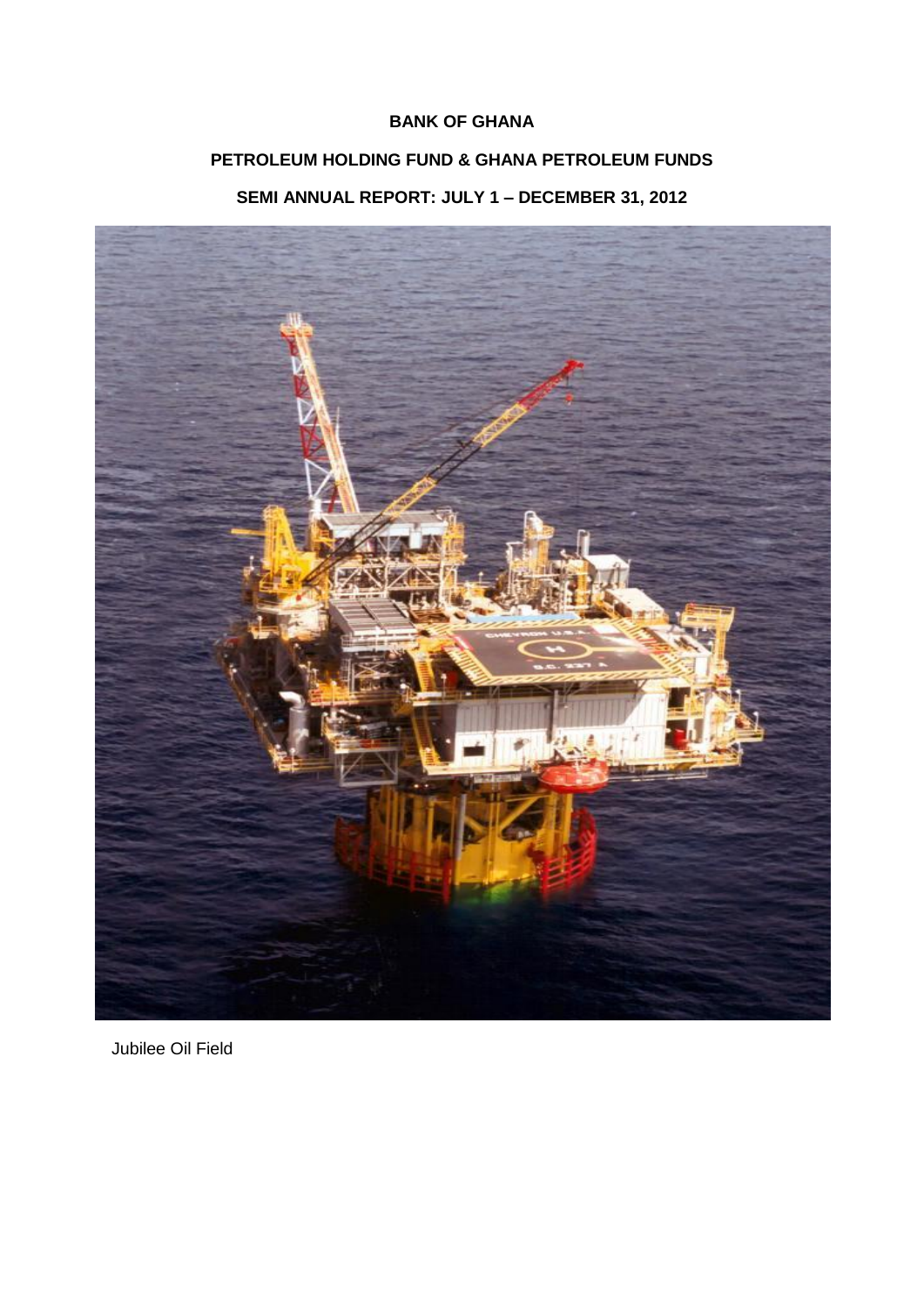## **BANK OF GHANA**

# **PETROLEUM HOLDING FUND & GHANA PETROLEUM FUNDS SEMI ANNUAL REPORT: JULY 1 – DECEMBER 31, 2012**



Jubilee Oil Field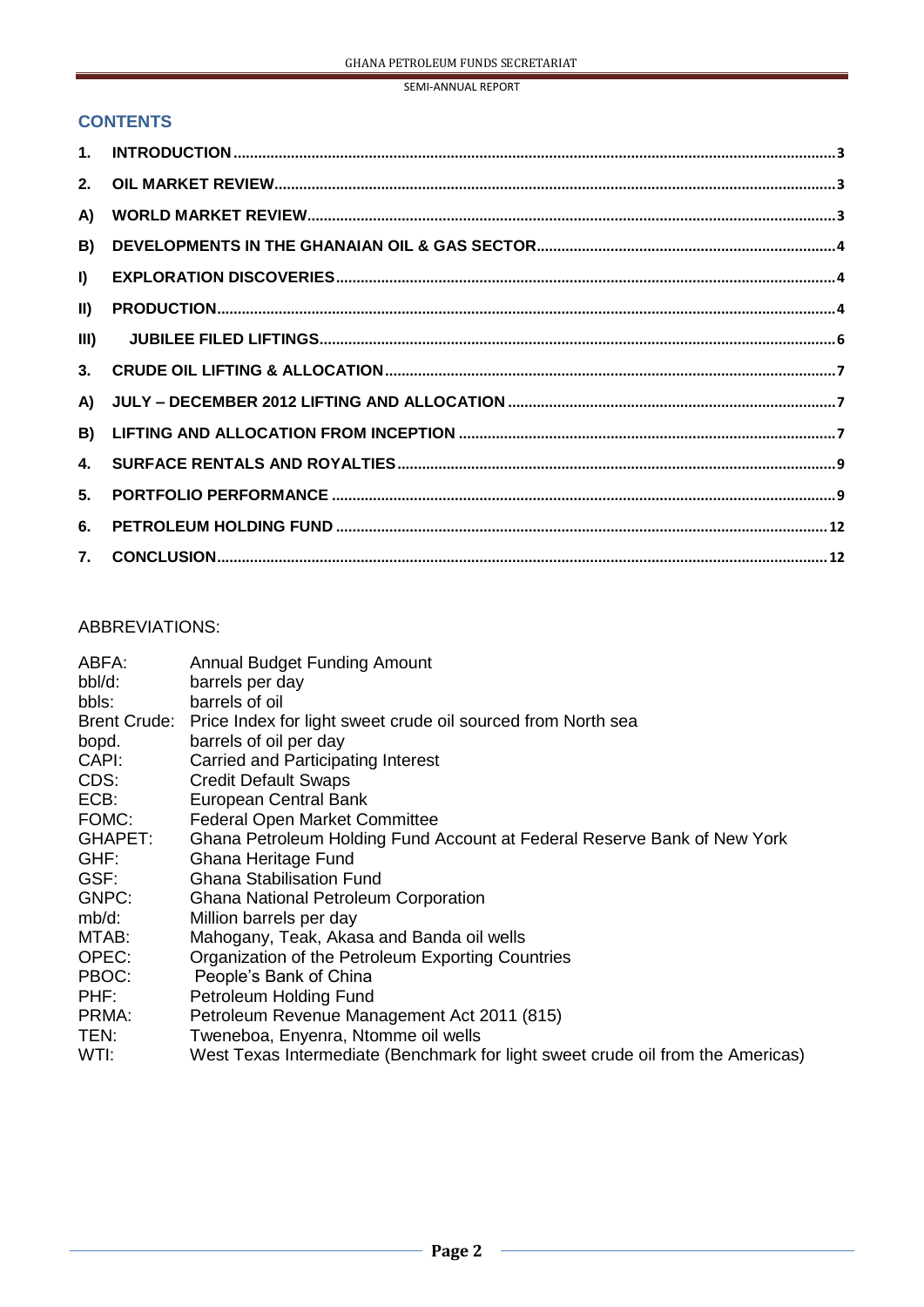#### **CONTENTS**

| $\mathbf{1}$ .   |  |
|------------------|--|
| 2.               |  |
| A)               |  |
| B)               |  |
| $\mathbf{I}$     |  |
| $\vert$ II)      |  |
| III)             |  |
| 3 <sub>1</sub>   |  |
| A)               |  |
| B)               |  |
| $\blacktriangle$ |  |
| 5.               |  |
| 6.               |  |
| 7 <sub>1</sub>   |  |

# ABBREVIATIONS:

| ABFA:               | <b>Annual Budget Funding Amount</b>                                             |
|---------------------|---------------------------------------------------------------------------------|
| bbl/d:              | barrels per day                                                                 |
| bbls:               | barrels of oil                                                                  |
| <b>Brent Crude:</b> | Price Index for light sweet crude oil sourced from North sea                    |
| bopd.               | barrels of oil per day                                                          |
| CAPI:               | <b>Carried and Participating Interest</b>                                       |
| CDS:                | <b>Credit Default Swaps</b>                                                     |
| ECB:                | European Central Bank                                                           |
| FOMC:               | <b>Federal Open Market Committee</b>                                            |
| GHAPET:             | Ghana Petroleum Holding Fund Account at Federal Reserve Bank of New York        |
| GHF:                | Ghana Heritage Fund                                                             |
| GSF:                | <b>Ghana Stabilisation Fund</b>                                                 |
| GNPC:               | <b>Ghana National Petroleum Corporation</b>                                     |
| mb/d:               | Million barrels per day                                                         |
| MTAB:               | Mahogany, Teak, Akasa and Banda oil wells                                       |
| OPEC:               | Organization of the Petroleum Exporting Countries                               |
| PBOC:               | People's Bank of China                                                          |
| PHF:                | Petroleum Holding Fund                                                          |
| PRMA:               | Petroleum Revenue Management Act 2011 (815)                                     |
| TEN:                | Tweneboa, Enyenra, Ntomme oil wells                                             |
| WTI:                | West Texas Intermediate (Benchmark for light sweet crude oil from the Americas) |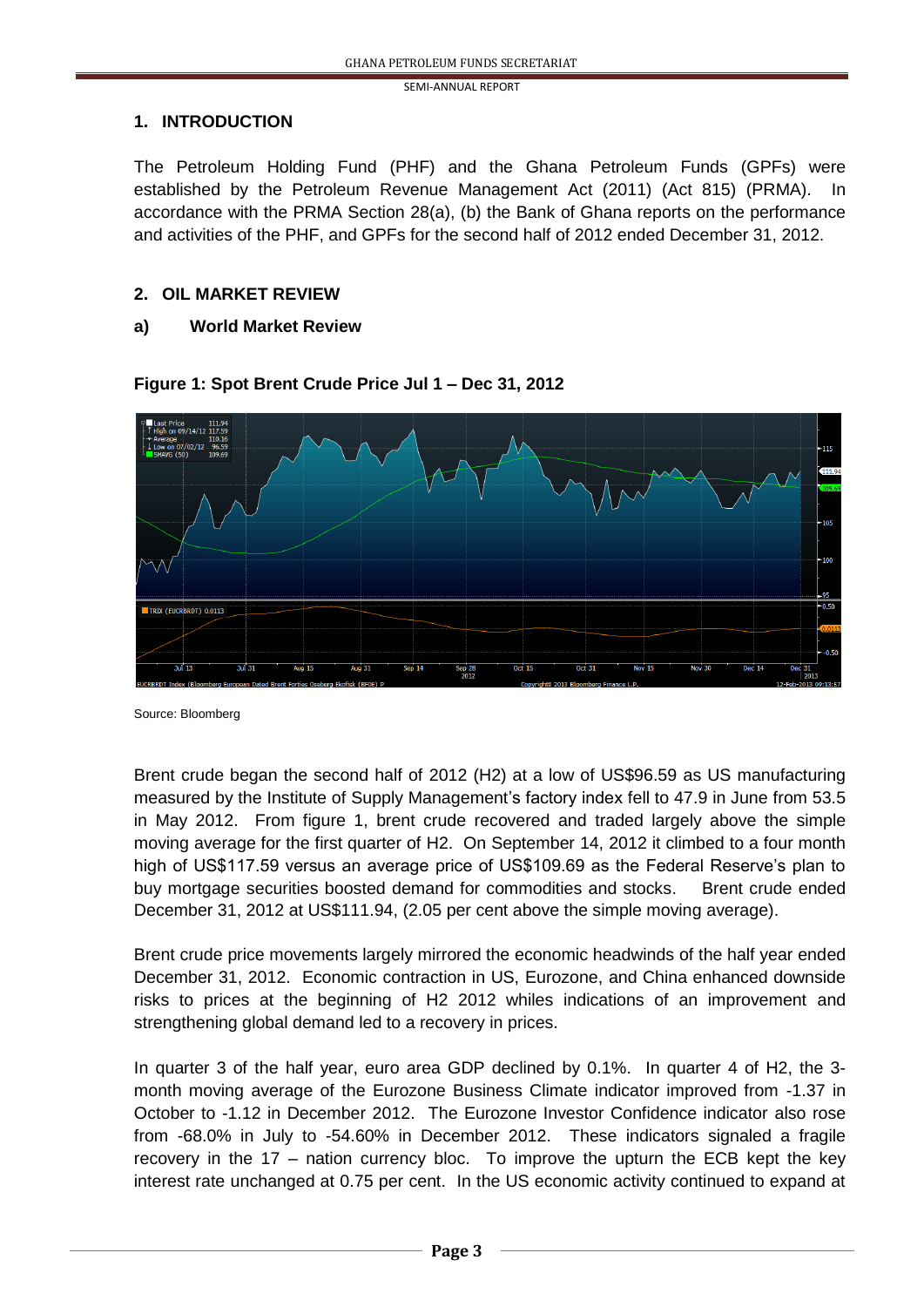#### **1. INTRODUCTION**

The Petroleum Holding Fund (PHF) and the Ghana Petroleum Funds (GPFs) were established by the Petroleum Revenue Management Act (2011) (Act 815) (PRMA). In accordance with the PRMA Section 28(a), (b) the Bank of Ghana reports on the performance and activities of the PHF, and GPFs for the second half of 2012 ended December 31, 2012.

## **2. OIL MARKET REVIEW**

### **a) World Market Review**



### **Figure 1: Spot Brent Crude Price Jul 1 – Dec 31, 2012**

Source: Bloomberg

Brent crude began the second half of 2012 (H2) at a low of US\$96.59 as US manufacturing measured by the Institute of Supply Management's factory index fell to 47.9 in June from 53.5 in May 2012. From figure 1, brent crude recovered and traded largely above the simple moving average for the first quarter of H2. On September 14, 2012 it climbed to a four month high of US\$117.59 versus an average price of US\$109.69 as the Federal Reserve's plan to buy mortgage securities boosted demand for commodities and stocks. Brent crude ended December 31, 2012 at US\$111.94, (2.05 per cent above the simple moving average).

Brent crude price movements largely mirrored the economic headwinds of the half year ended December 31, 2012. Economic contraction in US, Eurozone, and China enhanced downside risks to prices at the beginning of H2 2012 whiles indications of an improvement and strengthening global demand led to a recovery in prices.

In quarter 3 of the half year, euro area GDP declined by 0.1%. In quarter 4 of H2, the 3 month moving average of the Eurozone Business Climate indicator improved from -1.37 in October to -1.12 in December 2012. The Eurozone Investor Confidence indicator also rose from -68.0% in July to -54.60% in December 2012. These indicators signaled a fragile recovery in the 17 – nation currency bloc. To improve the upturn the ECB kept the key interest rate unchanged at 0.75 per cent. In the US economic activity continued to expand at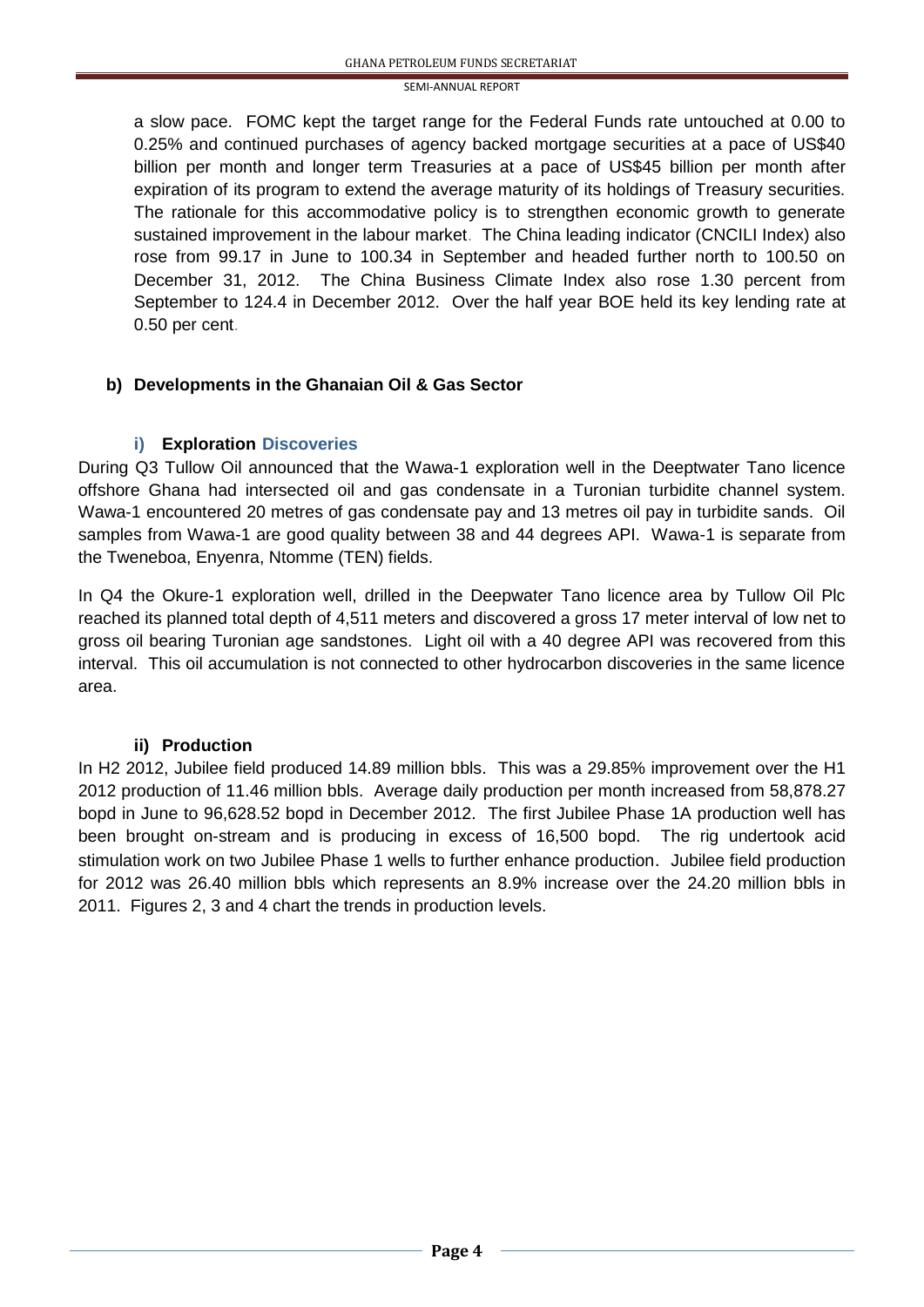a slow pace. FOMC kept the target range for the Federal Funds rate untouched at 0.00 to 0.25% and continued purchases of agency backed mortgage securities at a pace of US\$40 billion per month and longer term Treasuries at a pace of US\$45 billion per month after expiration of its program to extend the average maturity of its holdings of Treasury securities. The rationale for this accommodative policy is to strengthen economic growth to generate sustained improvement in the labour market. The China leading indicator (CNCILI Index) also rose from 99.17 in June to 100.34 in September and headed further north to 100.50 on December 31, 2012. The China Business Climate Index also rose 1.30 percent from September to 124.4 in December 2012. Over the half year BOE held its key lending rate at 0.50 per cent.

#### **b) Developments in the Ghanaian Oil & Gas Sector**

#### **i) Exploration Discoveries**

During Q3 Tullow Oil announced that the Wawa-1 exploration well in the Deeptwater Tano licence offshore Ghana had intersected oil and gas condensate in a Turonian turbidite channel system. Wawa-1 encountered 20 metres of gas condensate pay and 13 metres oil pay in turbidite sands. Oil samples from Wawa-1 are good quality between 38 and 44 degrees API. Wawa-1 is separate from the Tweneboa, Enyenra, Ntomme (TEN) fields.

In Q4 the Okure-1 exploration well, drilled in the Deepwater Tano licence area by Tullow Oil Plc reached its planned total depth of 4,511 meters and discovered a gross 17 meter interval of low net to gross oil bearing Turonian age sandstones. Light oil with a 40 degree API was recovered from this interval. This oil accumulation is not connected to other hydrocarbon discoveries in the same licence area.

#### **ii) Production**

In H2 2012, Jubilee field produced 14.89 million bbls. This was a 29.85% improvement over the H1 2012 production of 11.46 million bbls. Average daily production per month increased from 58,878.27 bopd in June to 96,628.52 bopd in December 2012. The first Jubilee Phase 1A production well has been brought on-stream and is producing in excess of 16,500 bopd. The rig undertook acid stimulation work on two Jubilee Phase 1 wells to further enhance production. Jubilee field production for 2012 was 26.40 million bbls which represents an 8.9% increase over the 24.20 million bbls in 2011. Figures 2, 3 and 4 chart the trends in production levels.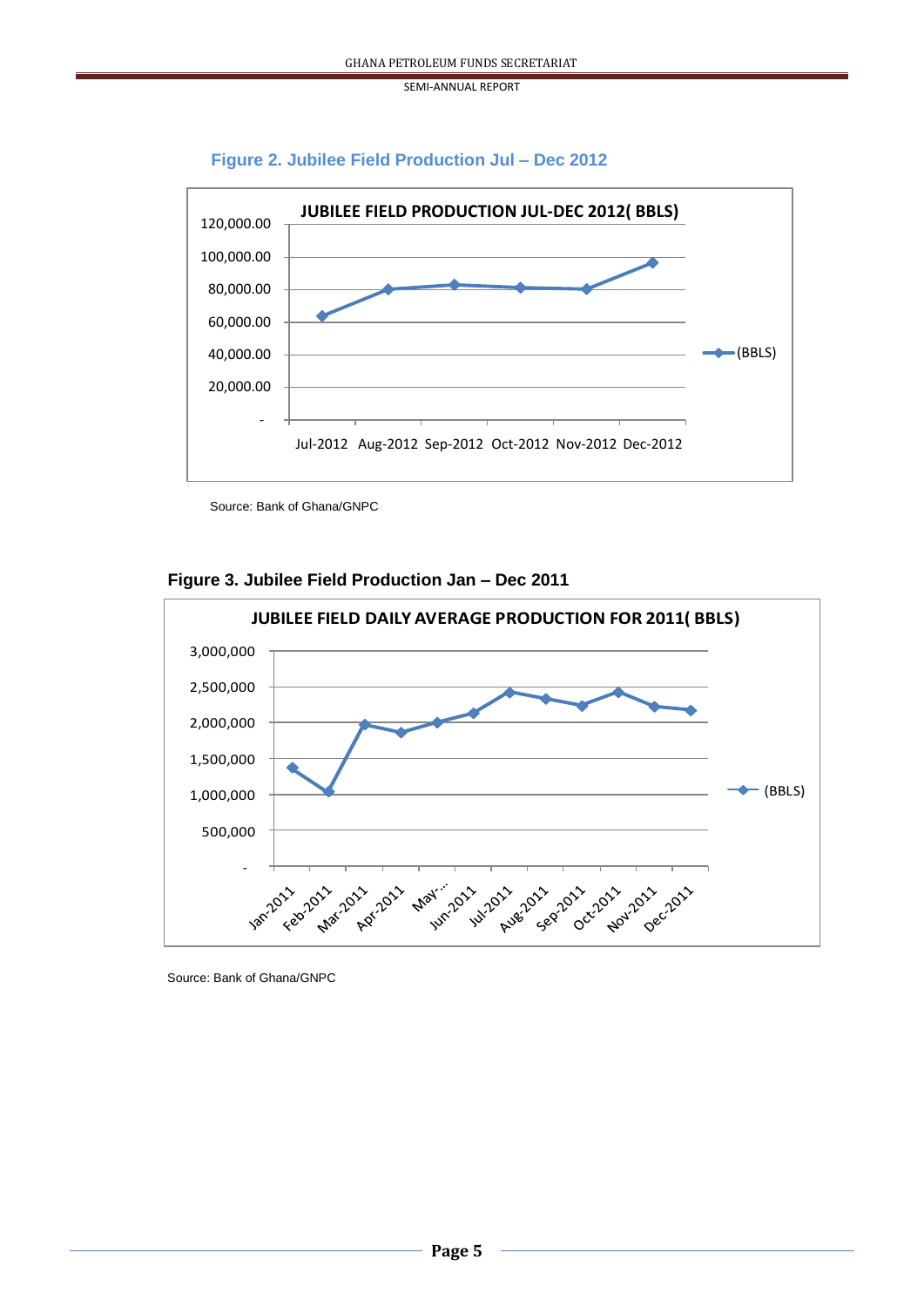#### **Figure 2. Jubilee Field Production Jul – Dec 2012**



Source: Bank of Ghana/GNPC

#### **Figure 3. Jubilee Field Production Jan – Dec 2011**



Source: Bank of Ghana/GNPC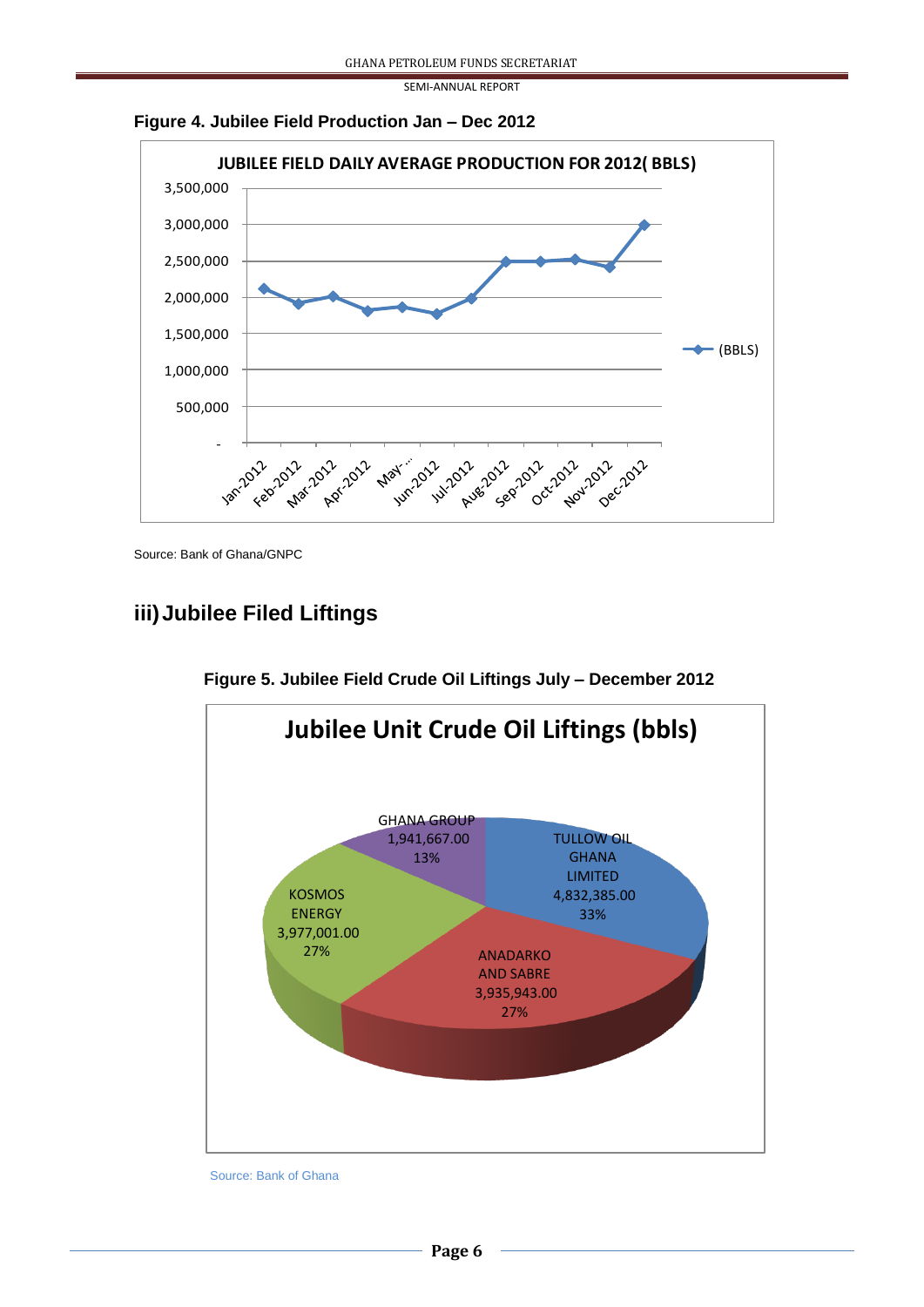



Source: Bank of Ghana/GNPC

# **iii)Jubilee Filed Liftings**



**Figure 5. Jubilee Field Crude Oil Liftings July – December 2012**

Source: Bank of Ghana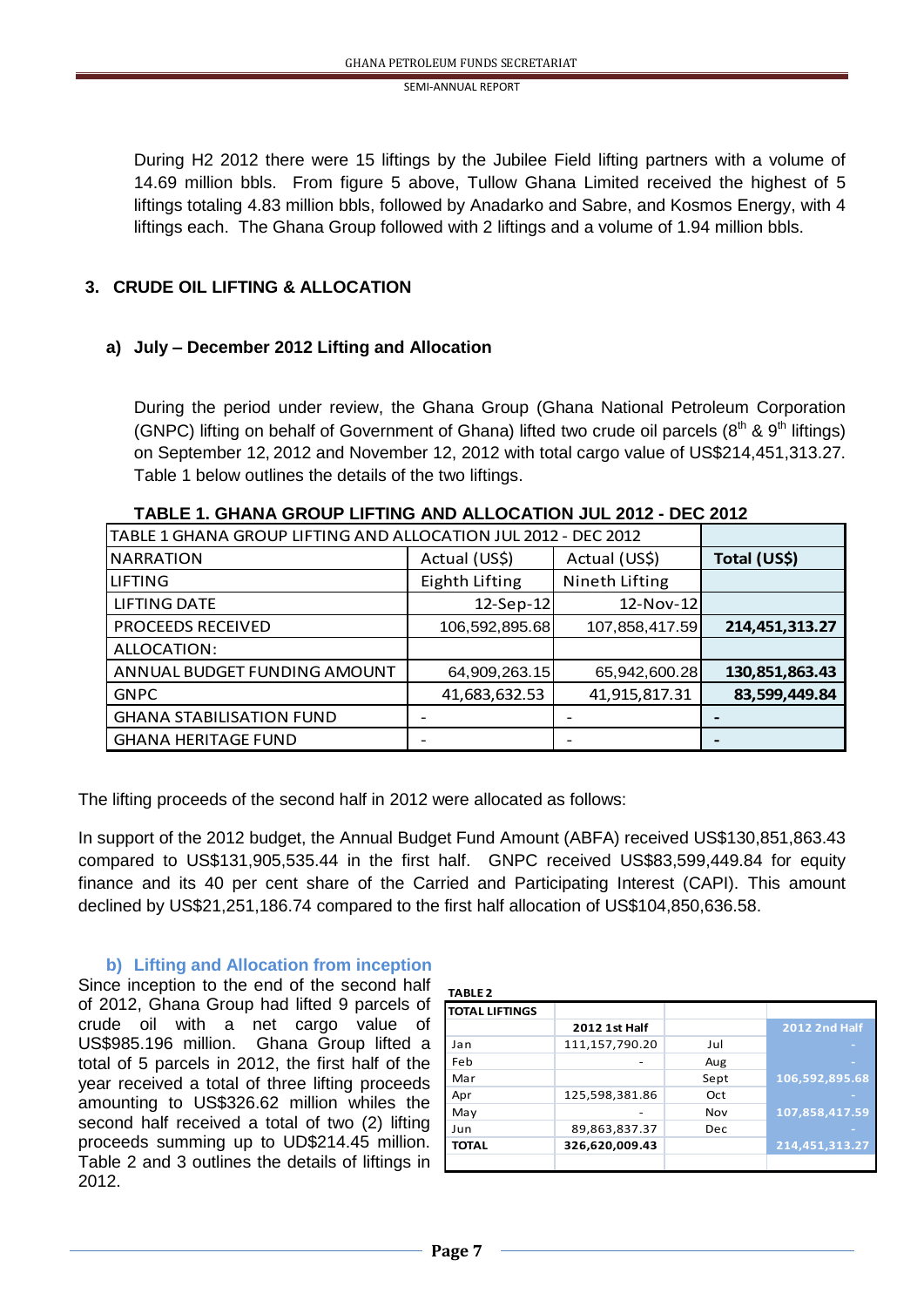During H2 2012 there were 15 liftings by the Jubilee Field lifting partners with a volume of 14.69 million bbls. From figure 5 above, Tullow Ghana Limited received the highest of 5 liftings totaling 4.83 million bbls, followed by Anadarko and Sabre, and Kosmos Energy, with 4 liftings each. The Ghana Group followed with 2 liftings and a volume of 1.94 million bbls.

### **3. CRUDE OIL LIFTING & ALLOCATION**

#### **a) July – December 2012 Lifting and Allocation**

During the period under review, the Ghana Group (Ghana National Petroleum Corporation (GNPC) lifting on behalf of Government of Ghana) lifted two crude oil parcels ( $8<sup>th</sup>$  &  $9<sup>th</sup>$  liftings) on September 12, 2012 and November 12, 2012 with total cargo value of US\$214,451,313.27. Table 1 below outlines the details of the two liftings.

| TABLE 1 GHANA GROUP LIFTING AND ALLOCATION JUL 2012 - DEC 2012 |                |                |                |
|----------------------------------------------------------------|----------------|----------------|----------------|
| <b>NARRATION</b>                                               | Actual (US\$)  | Actual (US\$)  | Total (US\$)   |
| LIFTING                                                        | Eighth Lifting | Nineth Lifting |                |
| <b>LIFTING DATE</b>                                            | $12-Sep-12$    | $12-Nov-12$    |                |
| <b>PROCEEDS RECEIVED</b>                                       | 106,592,895.68 | 107,858,417.59 | 214,451,313.27 |
| ALLOCATION:                                                    |                |                |                |
| ANNUAL BUDGET FUNDING AMOUNT                                   | 64,909,263.15  | 65,942,600.28  | 130,851,863.43 |
| <b>GNPC</b>                                                    | 41,683,632.53  | 41,915,817.31  | 83,599,449.84  |
| <b>GHANA STABILISATION FUND</b>                                |                |                |                |
| <b>GHANA HERITAGE FUND</b>                                     |                |                |                |

**TABLE 1. GHANA GROUP LIFTING AND ALLOCATION JUL 2012 - DEC 2012**

The lifting proceeds of the second half in 2012 were allocated as follows:

In support of the 2012 budget, the Annual Budget Fund Amount (ABFA) received US\$130,851,863.43 compared to US\$131,905,535.44 in the first half. GNPC received US\$83,599,449.84 for equity finance and its 40 per cent share of the Carried and Participating Interest (CAPI). This amount declined by US\$21,251,186.74 compared to the first half allocation of US\$104,850,636.58.

#### **b) Lifting and Allocation from inception**

Since inception to the end of the second half of 2012, Ghana Group had lifted 9 parcels of crude oil with a net cargo value of US\$985.196 million. Ghana Group lifted a total of 5 parcels in 2012, the first half of the year received a total of three lifting proceeds amounting to US\$326.62 million whiles the second half received a total of two (2) lifting proceeds summing up to UD\$214.45 million. Table 2 and 3 outlines the details of liftings in 2012.

| <b>TABLE 2</b>        |                |      |                      |
|-----------------------|----------------|------|----------------------|
| <b>TOTAL LIFTINGS</b> |                |      |                      |
|                       | 2012 1st Half  |      | <b>2012 2nd Half</b> |
| Jan                   | 111,157,790.20 | Jul  |                      |
| Feb                   |                | Aug  |                      |
| Mar                   |                | Sept | 106,592,895.68       |
| Apr                   | 125,598,381.86 | Oct  |                      |
| May                   |                | Nov  | 107,858,417.59       |
| Jun                   | 89,863,837.37  | Dec. |                      |
| <b>TOTAL</b>          | 326,620,009.43 |      | 214,451,313.27       |
|                       |                |      |                      |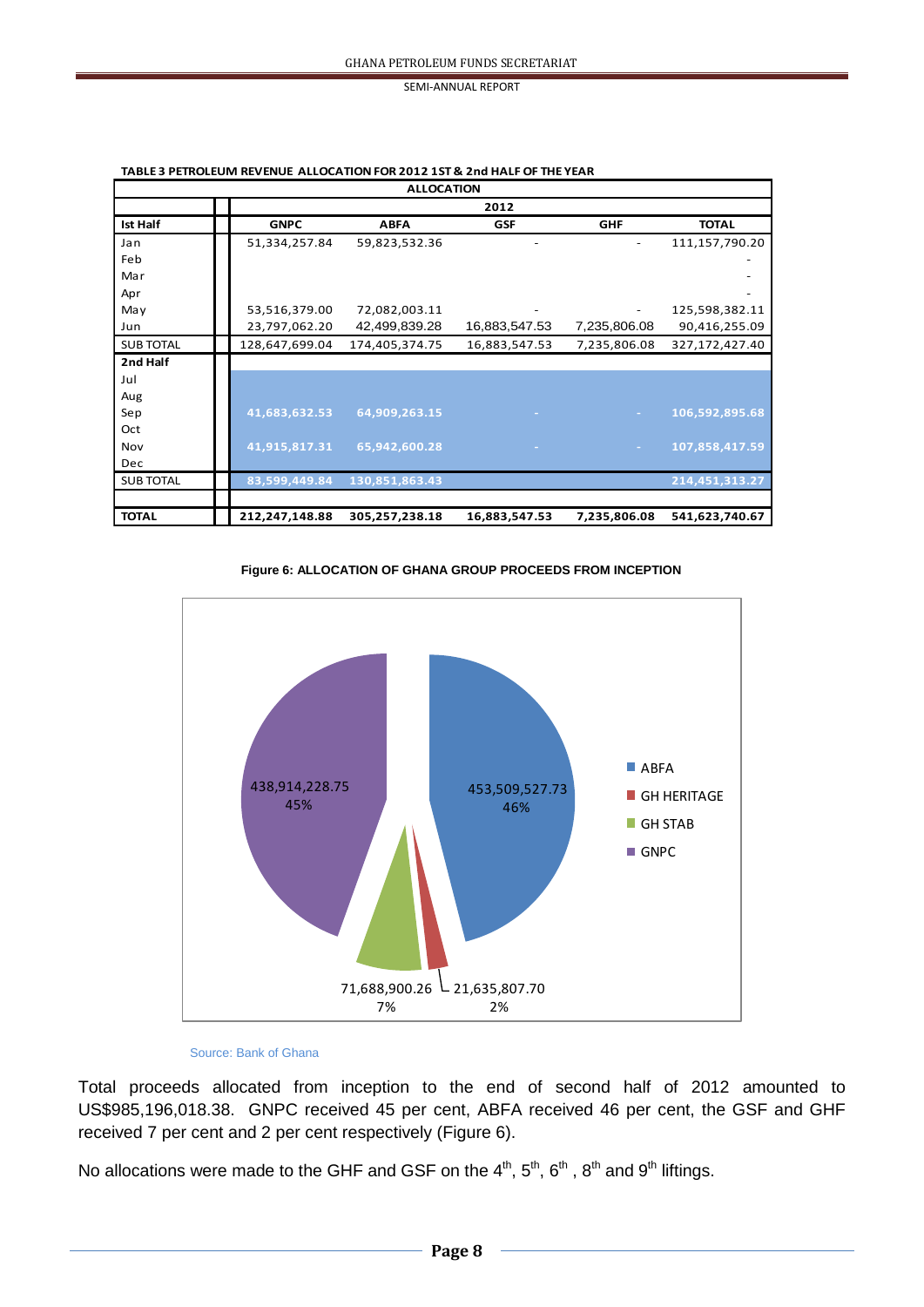| <b>ALLOCATION</b> |      |                |                |               |              |                |
|-------------------|------|----------------|----------------|---------------|--------------|----------------|
|                   | 2012 |                |                |               |              |                |
| <b>Ist Half</b>   |      | <b>GNPC</b>    | <b>ABFA</b>    | <b>GSF</b>    | <b>GHF</b>   | <b>TOTAL</b>   |
| Jan               |      | 51,334,257.84  | 59,823,532.36  |               |              | 111,157,790.20 |
| Feb               |      |                |                |               |              |                |
| Mar               |      |                |                |               |              |                |
| Apr               |      |                |                |               |              |                |
| May               |      | 53,516,379.00  | 72,082,003.11  |               | -            | 125,598,382.11 |
| Jun               |      | 23,797,062.20  | 42,499,839.28  | 16,883,547.53 | 7,235,806.08 | 90,416,255.09  |
| <b>SUB TOTAL</b>  |      | 128,647,699.04 | 174,405,374.75 | 16,883,547.53 | 7,235,806.08 | 327,172,427.40 |
| 2nd Half          |      |                |                |               |              |                |
| Jul               |      |                |                |               |              |                |
| Aug               |      |                |                |               |              |                |
| Sep               |      | 41,683,632.53  | 64,909,263.15  |               |              | 106,592,895.68 |
| Oct               |      |                |                |               |              |                |
| Nov               |      | 41,915,817.31  | 65,942,600.28  |               |              | 107,858,417.59 |
| <b>Dec</b>        |      |                |                |               |              |                |
| <b>SUB TOTAL</b>  |      | 83,599,449.84  | 130,851,863.43 |               |              | 214,451,313.27 |
| <b>TOTAL</b>      |      | 212,247,148.88 | 305,257,238.18 | 16,883,547.53 | 7,235,806.08 | 541,623,740.67 |

**TABLE 3 PETROLEUM REVENUE ALLOCATION FOR 2012 1ST & 2nd HALF OF THE YEAR**

 **Figure 6: ALLOCATION OF GHANA GROUP PROCEEDS FROM INCEPTION**



#### Source: Bank of Ghana

Total proceeds allocated from inception to the end of second half of 2012 amounted to US\$985,196,018.38. GNPC received 45 per cent, ABFA received 46 per cent, the GSF and GHF received 7 per cent and 2 per cent respectively (Figure 6).

No allocations were made to the GHF and GSF on the 4<sup>th</sup>, 5<sup>th</sup>, 6<sup>th</sup>, 8<sup>th</sup> and 9<sup>th</sup> liftings.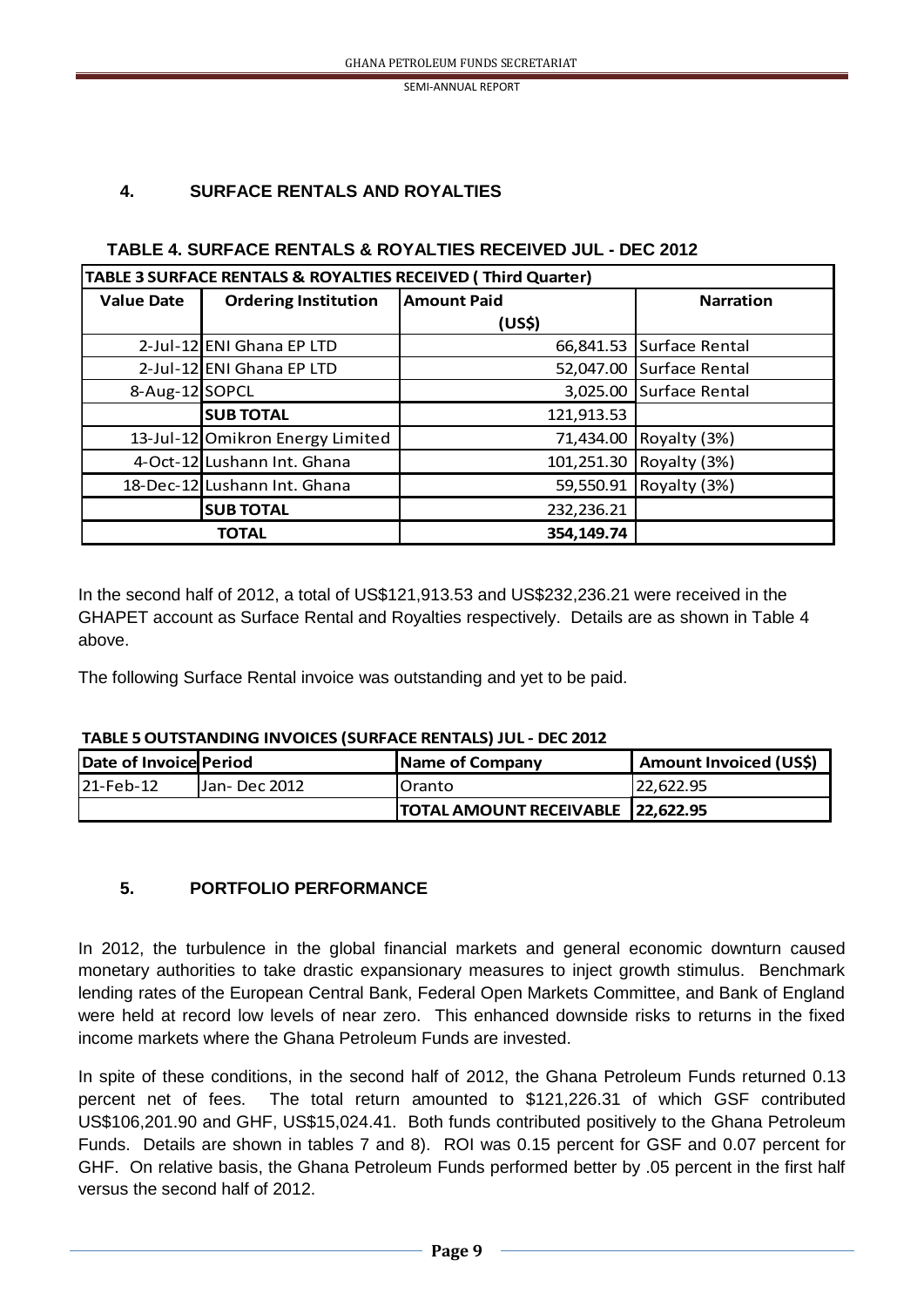### **4. SURFACE RENTALS AND ROYALTIES**

#### **TABLE 4. SURFACE RENTALS & ROYALTIES RECEIVED JUL - DEC 2012**

| TABLE 3 SURFACE RENTALS & ROYALTIES RECEIVED (Third Quarter) |                                  |                    |                          |  |
|--------------------------------------------------------------|----------------------------------|--------------------|--------------------------|--|
| <b>Value Date</b>                                            | <b>Ordering Institution</b>      | <b>Amount Paid</b> | <b>Narration</b>         |  |
|                                                              |                                  | (US\$)             |                          |  |
|                                                              | 2-Jul-12 ENI Ghana EP LTD        |                    | 66,841.53 Surface Rental |  |
|                                                              | 2-Jul-12 ENI Ghana EP LTD        | 52,047.00          | Surface Rental           |  |
| 8-Aug-12 SOPCL                                               |                                  | 3,025.00           | <b>Surface Rental</b>    |  |
|                                                              | <b>SUB TOTAL</b>                 | 121,913.53         |                          |  |
|                                                              | 13-Jul-12 Omikron Energy Limited |                    | 71,434.00 Royalty (3%)   |  |
|                                                              | 4-Oct-12 Lushann Int. Ghana      |                    | 101,251.30 Royalty (3%)  |  |
|                                                              | 18-Dec-12 Lushann Int. Ghana     | 59,550.91          | Royalty (3%)             |  |
|                                                              | <b>SUB TOTAL</b>                 | 232,236.21         |                          |  |
|                                                              | <b>TOTAL</b>                     | 354,149.74         |                          |  |

In the second half of 2012, a total of US\$121,913.53 and US\$232,236.21 were received in the GHAPET account as Surface Rental and Royalties respectively. Details are as shown in Table 4 above.

The following Surface Rental invoice was outstanding and yet to be paid.

# **Date of Invoice Period Name of Company Amount Invoiced (US\$) Properties** 21-Feb-12 Jan- Dec 2012 Oranto 22,622.95 **TOTAL AMOUNT RECEIVABLE 22,622.95**

#### **TABLE 5 OUTSTANDING INVOICES (SURFACE RENTALS) JUL - DEC 2012**

### **5. PORTFOLIO PERFORMANCE**

In 2012, the turbulence in the global financial markets and general economic downturn caused monetary authorities to take drastic expansionary measures to inject growth stimulus. Benchmark lending rates of the European Central Bank, Federal Open Markets Committee, and Bank of England were held at record low levels of near zero. This enhanced downside risks to returns in the fixed income markets where the Ghana Petroleum Funds are invested.

In spite of these conditions, in the second half of 2012, the Ghana Petroleum Funds returned 0.13 percent net of fees. The total return amounted to \$121,226.31 of which GSF contributed US\$106,201.90 and GHF, US\$15,024.41. Both funds contributed positively to the Ghana Petroleum Funds. Details are shown in tables 7 and 8). ROI was 0.15 percent for GSF and 0.07 percent for GHF. On relative basis, the Ghana Petroleum Funds performed better by .05 percent in the first half versus the second half of 2012.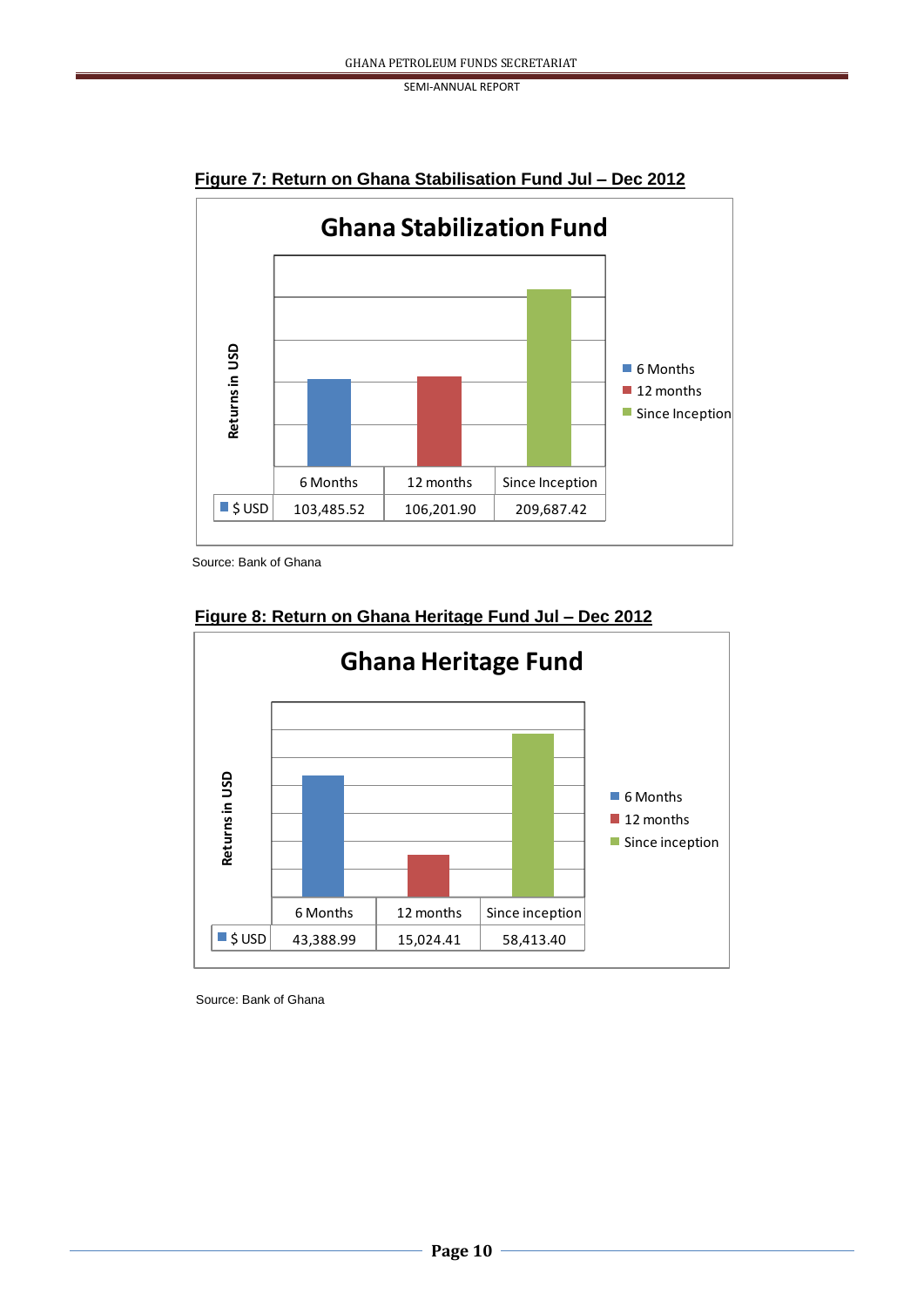

**Figure 7: Return on Ghana Stabilisation Fund Jul – Dec 2012**

Source: Bank of Ghana



### **Figure 8: Return on Ghana Heritage Fund Jul – Dec 2012**

Source: Bank of Ghana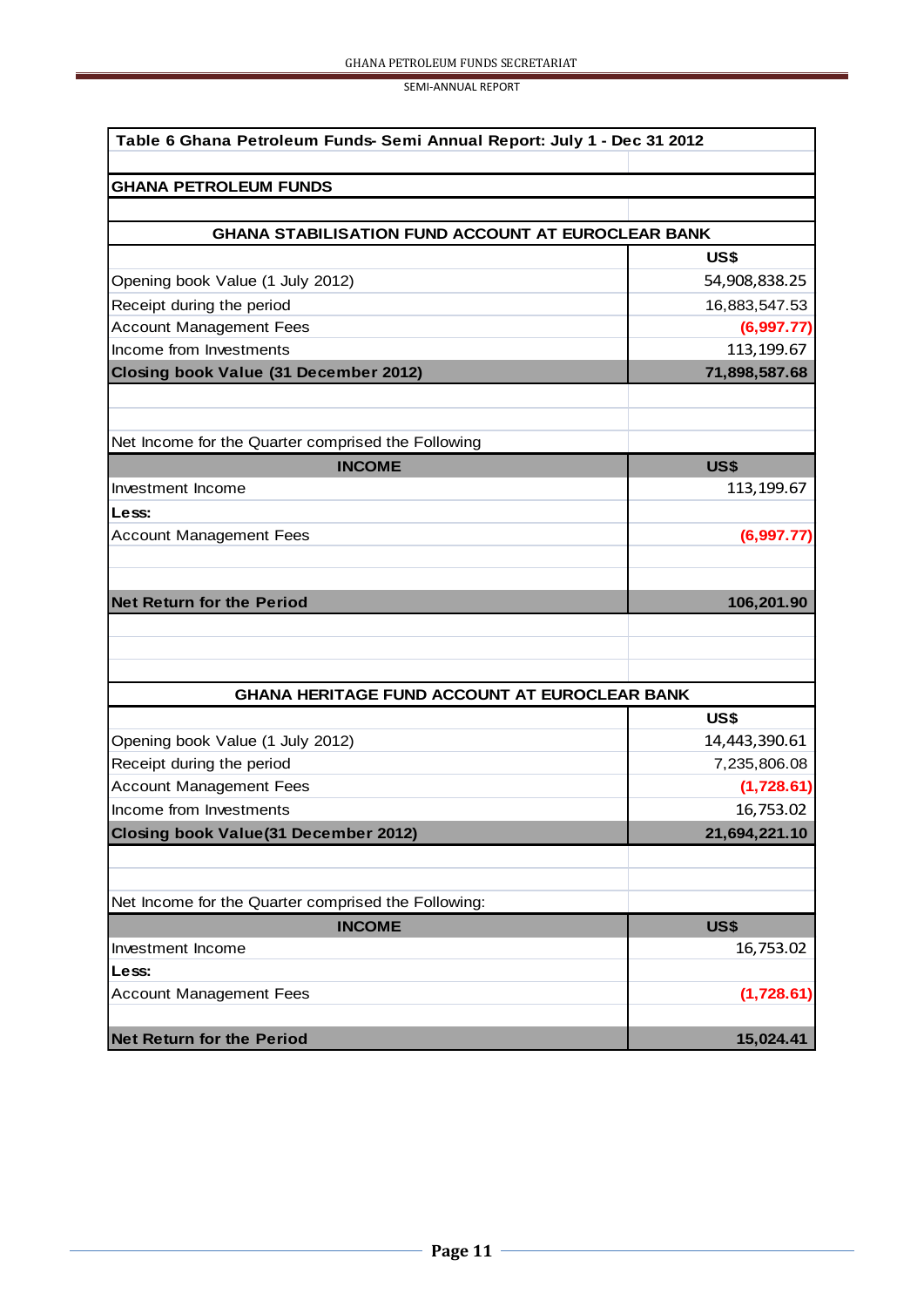| Table 6 Ghana Petroleum Funds-Semi Annual Report: July 1 - Dec 31 2012 |               |  |  |  |
|------------------------------------------------------------------------|---------------|--|--|--|
| <b>GHANA PETROLEUM FUNDS</b>                                           |               |  |  |  |
|                                                                        |               |  |  |  |
| <b>GHANA STABILISATION FUND ACCOUNT AT EUROCLEAR BANK</b>              |               |  |  |  |
|                                                                        | US\$          |  |  |  |
| Opening book Value (1 July 2012)                                       | 54,908,838.25 |  |  |  |
| Receipt during the period                                              | 16,883,547.53 |  |  |  |
| <b>Account Management Fees</b>                                         | (6,997.77)    |  |  |  |
| Income from Investments                                                | 113,199.67    |  |  |  |
| Closing book Value (31 December 2012)                                  | 71,898,587.68 |  |  |  |
|                                                                        |               |  |  |  |
|                                                                        |               |  |  |  |
| Net Income for the Quarter comprised the Following                     |               |  |  |  |
| <b>INCOME</b>                                                          | <b>US\$</b>   |  |  |  |
| Investment Income                                                      | 113,199.67    |  |  |  |
| Less:                                                                  |               |  |  |  |
| <b>Account Management Fees</b>                                         | (6,997.77)    |  |  |  |
|                                                                        |               |  |  |  |
| <b>Net Return for the Period</b>                                       | 106,201.90    |  |  |  |
|                                                                        |               |  |  |  |
|                                                                        |               |  |  |  |
|                                                                        |               |  |  |  |
| <b>GHANA HERITAGE FUND ACCOUNT AT EUROCLEAR BANK</b>                   |               |  |  |  |
|                                                                        | US\$          |  |  |  |
| Opening book Value (1 July 2012)                                       | 14,443,390.61 |  |  |  |
| Receipt during the period                                              | 7,235,806.08  |  |  |  |
| <b>Account Management Fees</b>                                         | (1,728.61)    |  |  |  |
| Income from Investments                                                | 16,753.02     |  |  |  |
| <b>Closing book Value(31 December 2012)</b>                            | 21,694,221.10 |  |  |  |
|                                                                        |               |  |  |  |
|                                                                        |               |  |  |  |
| Net Income for the Quarter comprised the Following:                    |               |  |  |  |
| <b>INCOME</b>                                                          | <b>US\$</b>   |  |  |  |
| Investment Income                                                      | 16,753.02     |  |  |  |
| Less:                                                                  |               |  |  |  |
| <b>Account Management Fees</b>                                         | (1,728.61)    |  |  |  |
|                                                                        |               |  |  |  |
| <b>Net Return for the Period</b>                                       | 15,024.41     |  |  |  |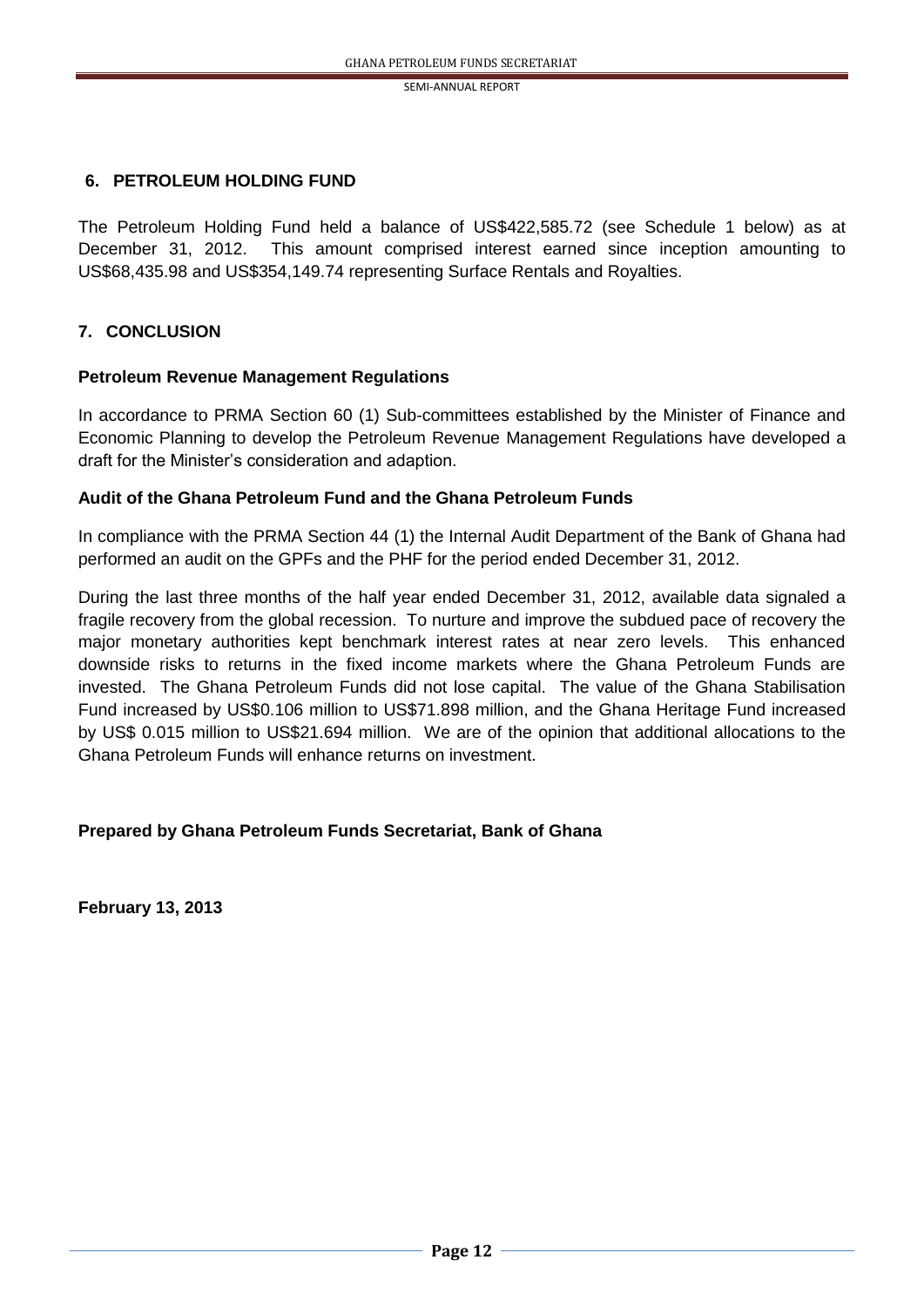#### **6. PETROLEUM HOLDING FUND**

The Petroleum Holding Fund held a balance of US\$422,585.72 (see Schedule 1 below) as at December 31, 2012. This amount comprised interest earned since inception amounting to US\$68,435.98 and US\$354,149.74 representing Surface Rentals and Royalties.

### **7. CONCLUSION**

#### **Petroleum Revenue Management Regulations**

In accordance to PRMA Section 60 (1) Sub-committees established by the Minister of Finance and Economic Planning to develop the Petroleum Revenue Management Regulations have developed a draft for the Minister's consideration and adaption.

#### **Audit of the Ghana Petroleum Fund and the Ghana Petroleum Funds**

In compliance with the PRMA Section 44 (1) the Internal Audit Department of the Bank of Ghana had performed an audit on the GPFs and the PHF for the period ended December 31, 2012.

During the last three months of the half year ended December 31, 2012, available data signaled a fragile recovery from the global recession. To nurture and improve the subdued pace of recovery the major monetary authorities kept benchmark interest rates at near zero levels. This enhanced downside risks to returns in the fixed income markets where the Ghana Petroleum Funds are invested. The Ghana Petroleum Funds did not lose capital. The value of the Ghana Stabilisation Fund increased by US\$0.106 million to US\$71.898 million, and the Ghana Heritage Fund increased by US\$ 0.015 million to US\$21.694 million. We are of the opinion that additional allocations to the Ghana Petroleum Funds will enhance returns on investment.

#### **Prepared by Ghana Petroleum Funds Secretariat, Bank of Ghana**

**February 13, 2013**